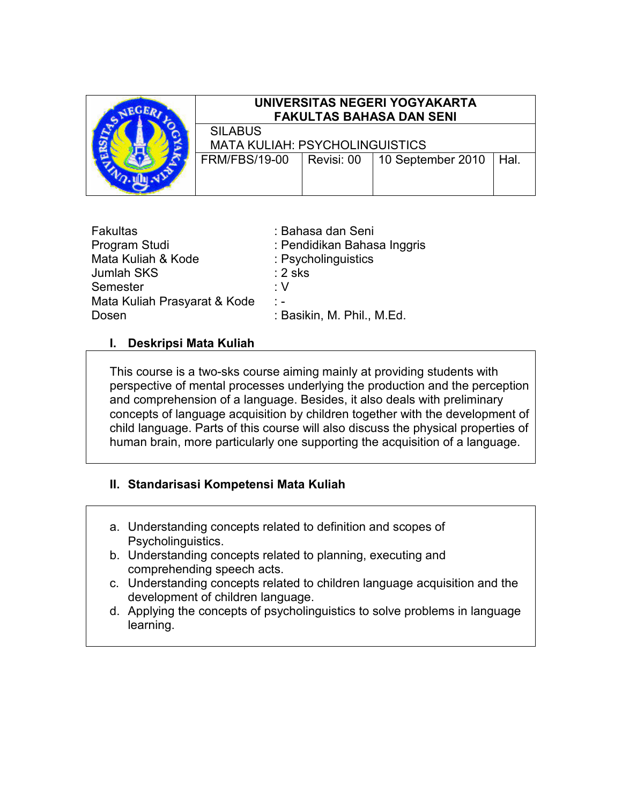

# UNIVERSITAS NEGERI YOGYAKARTA FAKULTAS BAHASA DAN SENI

SILABUS MATA KULIAH: PSYCHOLINGUISTICS

FRM/FBS/19-00 Revisi: 00 10 September 2010 Hal.

| <b>Fakultas</b>              | : Bahasa dan Seni           |
|------------------------------|-----------------------------|
| Program Studi                | : Pendidikan Bahasa Inggris |
| Mata Kuliah & Kode           | : Psycholinguistics         |
| Jumlah SKS                   | $: 2$ sks                   |
| Semester                     | ۰V                          |
| Mata Kuliah Prasyarat & Kode | $\frac{1}{2}$               |
| Dosen                        | : Basikin, M. Phil., M.Ed.  |

## I. Deskripsi Mata Kuliah

This course is a two-sks course aiming mainly at providing students with perspective of mental processes underlying the production and the perception and comprehension of a language. Besides, it also deals with preliminary concepts of language acquisition by children together with the development of child language. Parts of this course will also discuss the physical properties of human brain, more particularly one supporting the acquisition of a language.

## II. Standarisasi Kompetensi Mata Kuliah

- a. Understanding concepts related to definition and scopes of Psycholinguistics.
- b. Understanding concepts related to planning, executing and comprehending speech acts.
- c. Understanding concepts related to children language acquisition and the development of children language.
- d. Applying the concepts of psycholinguistics to solve problems in language learning.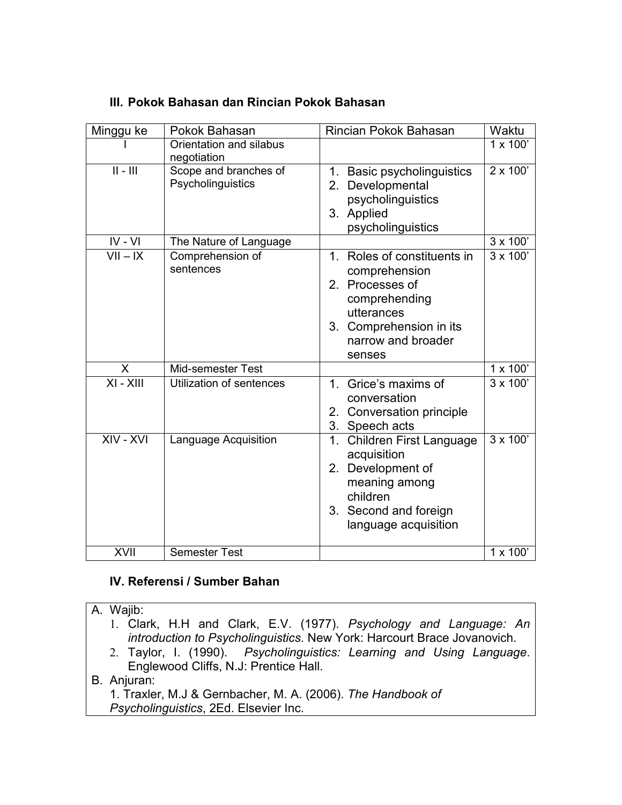| Minggu ke   | Pokok Bahasan                              | Rincian Pokok Bahasan                                                                                                                                        | Waktu           |
|-------------|--------------------------------------------|--------------------------------------------------------------------------------------------------------------------------------------------------------------|-----------------|
|             | Orientation and silabus<br>negotiation     |                                                                                                                                                              | 1 x 100'        |
| $   -    $  | Scope and branches of<br>Psycholinguistics | 1. Basic psycholinguistics<br>Developmental<br>2.<br>psycholinguistics<br>3. Applied<br>psycholinguistics                                                    | $2 \times 100'$ |
| $IV - VI$   | The Nature of Language                     |                                                                                                                                                              | $3 \times 100'$ |
| $VII - IX$  | Comprehension of<br>sentences              | 1. Roles of constituents in<br>comprehension<br>2. Processes of<br>comprehending<br>utterances<br>Comprehension in its<br>3.<br>narrow and broader<br>senses | $3 \times 100'$ |
| X           | Mid-semester Test                          |                                                                                                                                                              | 1 x 100'        |
| $XI - XIII$ | Utilization of sentences                   | 1. Grice's maxims of<br>conversation<br>2. Conversation principle<br>3. Speech acts                                                                          | $3 \times 100'$ |
| $XIV - XVI$ | Language Acquisition                       | <b>Children First Language</b><br>1.<br>acquisition<br>2. Development of<br>meaning among<br>children<br>3. Second and foreign<br>language acquisition       | 3 x 100'        |
| XVII        | <b>Semester Test</b>                       |                                                                                                                                                              | 1 x 100'        |

# III. Pokok Bahasan dan Rincian Pokok Bahasan

## IV. Referensi / Sumber Bahan

A. Wajib: 1. Clark, H.H and Clark, E.V. (1977). Psychology and Language: An introduction to Psycholinguistics. New York: Harcourt Brace Jovanovich. 2. Taylor, I. (1990). Psycholinguistics: Learning and Using Language.

Englewood Cliffs, N.J: Prentice Hall.

#### B. Anjuran:

1. Traxler, M.J & Gernbacher, M. A. (2006). The Handbook of Psycholinguistics, 2Ed. Elsevier Inc.